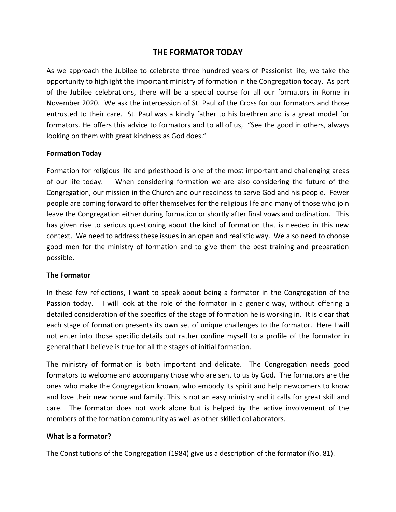# **THE FORMATOR TODAY**

As we approach the Jubilee to celebrate three hundred years of Passionist life, we take the opportunity to highlight the important ministry of formation in the Congregation today. As part of the Jubilee celebrations, there will be a special course for all our formators in Rome in November 2020. We ask the intercession of St. Paul of the Cross for our formators and those entrusted to their care. St. Paul was a kindly father to his brethren and is a great model for formators. He offers this advice to formators and to all of us, "See the good in others, always looking on them with great kindness as God does."

### **Formation Today**

Formation for religious life and priesthood is one of the most important and challenging areas of our life today. When considering formation we are also considering the future of the Congregation, our mission in the Church and our readiness to serve God and his people. Fewer people are coming forward to offer themselves for the religious life and many of those who join leave the Congregation either during formation or shortly after final vows and ordination. This has given rise to serious questioning about the kind of formation that is needed in this new context. We need to address these issues in an open and realistic way. We also need to choose good men for the ministry of formation and to give them the best training and preparation possible.

### **The Formator**

In these few reflections, I want to speak about being a formator in the Congregation of the Passion today. I will look at the role of the formator in a generic way, without offering a detailed consideration of the specifics of the stage of formation he is working in. It is clear that each stage of formation presents its own set of unique challenges to the formator. Here I will not enter into those specific details but rather confine myself to a profile of the formator in general that I believe is true for all the stages of initial formation.

The ministry of formation is both important and delicate. The Congregation needs good formators to welcome and accompany those who are sent to us by God. The formators are the ones who make the Congregation known, who embody its spirit and help newcomers to know and love their new home and family. This is not an easy ministry and it calls for great skill and care. The formator does not work alone but is helped by the active involvement of the members of the formation community as well as other skilled collaborators.

### **What is a formator?**

The Constitutions of the Congregation (1984) give us a description of the formator (No. 81).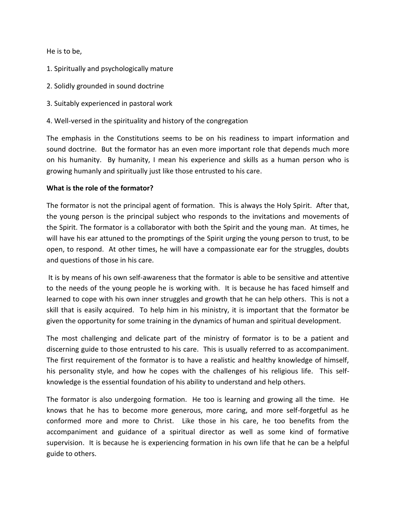He is to be,

- 1. Spiritually and psychologically mature
- 2. Solidly grounded in sound doctrine
- 3. Suitably experienced in pastoral work
- 4. Well-versed in the spirituality and history of the congregation

The emphasis in the Constitutions seems to be on his readiness to impart information and sound doctrine. But the formator has an even more important role that depends much more on his humanity. By humanity, I mean his experience and skills as a human person who is growing humanly and spiritually just like those entrusted to his care.

### **What is the role of the formator?**

The formator is not the principal agent of formation. This is always the Holy Spirit. After that, the young person is the principal subject who responds to the invitations and movements of the Spirit. The formator is a collaborator with both the Spirit and the young man. At times, he will have his ear attuned to the promptings of the Spirit urging the young person to trust, to be open, to respond. At other times, he will have a compassionate ear for the struggles, doubts and questions of those in his care.

It is by means of his own self-awareness that the formator is able to be sensitive and attentive to the needs of the young people he is working with. It is because he has faced himself and learned to cope with his own inner struggles and growth that he can help others. This is not a skill that is easily acquired. To help him in his ministry, it is important that the formator be given the opportunity for some training in the dynamics of human and spiritual development.

The most challenging and delicate part of the ministry of formator is to be a patient and discerning guide to those entrusted to his care. This is usually referred to as accompaniment. The first requirement of the formator is to have a realistic and healthy knowledge of himself, his personality style, and how he copes with the challenges of his religious life. This selfknowledge is the essential foundation of his ability to understand and help others.

The formator is also undergoing formation. He too is learning and growing all the time. He knows that he has to become more generous, more caring, and more self-forgetful as he conformed more and more to Christ. Like those in his care, he too benefits from the accompaniment and guidance of a spiritual director as well as some kind of formative supervision. It is because he is experiencing formation in his own life that he can be a helpful guide to others.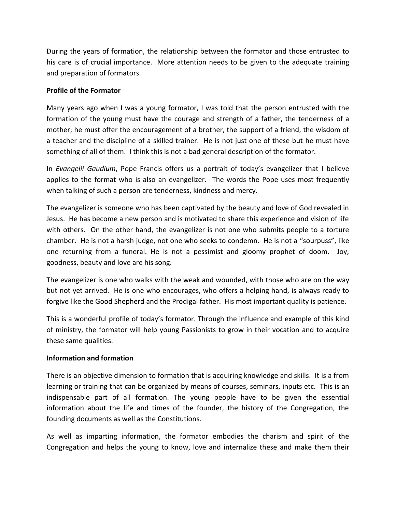During the years of formation, the relationship between the formator and those entrusted to his care is of crucial importance. More attention needs to be given to the adequate training and preparation of formators.

### **Profile of the Formator**

Many years ago when I was a young formator, I was told that the person entrusted with the formation of the young must have the courage and strength of a father, the tenderness of a mother; he must offer the encouragement of a brother, the support of a friend, the wisdom of a teacher and the discipline of a skilled trainer. He is not just one of these but he must have something of all of them. I think this is not a bad general description of the formator.

In *Evangelii Gaudium*, Pope Francis offers us a portrait of today's evangelizer that I believe applies to the format who is also an evangelizer. The words the Pope uses most frequently when talking of such a person are tenderness, kindness and mercy.

The evangelizer is someone who has been captivated by the beauty and love of God revealed in Jesus. He has become a new person and is motivated to share this experience and vision of life with others. On the other hand, the evangelizer is not one who submits people to a torture chamber. He is not a harsh judge, not one who seeks to condemn. He is not a "sourpuss", like one returning from a funeral. He is not a pessimist and gloomy prophet of doom. Joy, goodness, beauty and love are his song.

The evangelizer is one who walks with the weak and wounded, with those who are on the way but not yet arrived. He is one who encourages, who offers a helping hand, is always ready to forgive like the Good Shepherd and the Prodigal father. His most important quality is patience.

This is a wonderful profile of today's formator. Through the influence and example of this kind of ministry, the formator will help young Passionists to grow in their vocation and to acquire these same qualities.

### **Information and formation**

There is an objective dimension to formation that is acquiring knowledge and skills. It is a from learning or training that can be organized by means of courses, seminars, inputs etc. This is an indispensable part of all formation. The young people have to be given the essential information about the life and times of the founder, the history of the Congregation, the founding documents as well as the Constitutions.

As well as imparting information, the formator embodies the charism and spirit of the Congregation and helps the young to know, love and internalize these and make them their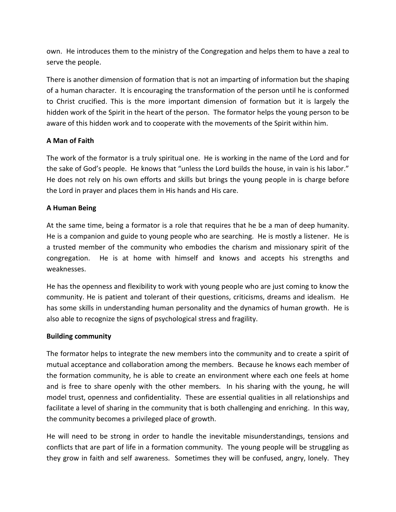own. He introduces them to the ministry of the Congregation and helps them to have a zeal to serve the people.

There is another dimension of formation that is not an imparting of information but the shaping of a human character. It is encouraging the transformation of the person until he is conformed to Christ crucified. This is the more important dimension of formation but it is largely the hidden work of the Spirit in the heart of the person. The formator helps the young person to be aware of this hidden work and to cooperate with the movements of the Spirit within him.

## **A Man of Faith**

The work of the formator is a truly spiritual one. He is working in the name of the Lord and for the sake of God's people. He knows that "unless the Lord builds the house, in vain is his labor." He does not rely on his own efforts and skills but brings the young people in is charge before the Lord in prayer and places them in His hands and His care.

## **A Human Being**

At the same time, being a formator is a role that requires that he be a man of deep humanity. He is a companion and guide to young people who are searching. He is mostly a listener. He is a trusted member of the community who embodies the charism and missionary spirit of the congregation. He is at home with himself and knows and accepts his strengths and weaknesses.

He has the openness and flexibility to work with young people who are just coming to know the community. He is patient and tolerant of their questions, criticisms, dreams and idealism. He has some skills in understanding human personality and the dynamics of human growth. He is also able to recognize the signs of psychological stress and fragility.

## **Building community**

The formator helps to integrate the new members into the community and to create a spirit of mutual acceptance and collaboration among the members. Because he knows each member of the formation community, he is able to create an environment where each one feels at home and is free to share openly with the other members. In his sharing with the young, he will model trust, openness and confidentiality. These are essential qualities in all relationships and facilitate a level of sharing in the community that is both challenging and enriching. In this way, the community becomes a privileged place of growth.

He will need to be strong in order to handle the inevitable misunderstandings, tensions and conflicts that are part of life in a formation community. The young people will be struggling as they grow in faith and self awareness. Sometimes they will be confused, angry, lonely. They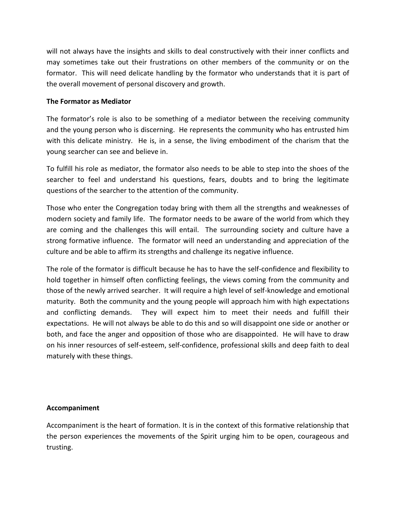will not always have the insights and skills to deal constructively with their inner conflicts and may sometimes take out their frustrations on other members of the community or on the formator. This will need delicate handling by the formator who understands that it is part of the overall movement of personal discovery and growth.

### **The Formator as Mediator**

The formator's role is also to be something of a mediator between the receiving community and the young person who is discerning. He represents the community who has entrusted him with this delicate ministry. He is, in a sense, the living embodiment of the charism that the young searcher can see and believe in.

To fulfill his role as mediator, the formator also needs to be able to step into the shoes of the searcher to feel and understand his questions, fears, doubts and to bring the legitimate questions of the searcher to the attention of the community.

Those who enter the Congregation today bring with them all the strengths and weaknesses of modern society and family life. The formator needs to be aware of the world from which they are coming and the challenges this will entail. The surrounding society and culture have a strong formative influence. The formator will need an understanding and appreciation of the culture and be able to affirm its strengths and challenge its negative influence.

The role of the formator is difficult because he has to have the self-confidence and flexibility to hold together in himself often conflicting feelings, the views coming from the community and those of the newly arrived searcher. It will require a high level of self-knowledge and emotional maturity. Both the community and the young people will approach him with high expectations and conflicting demands. They will expect him to meet their needs and fulfill their expectations. He will not always be able to do this and so will disappoint one side or another or both, and face the anger and opposition of those who are disappointed. He will have to draw on his inner resources of self-esteem, self-confidence, professional skills and deep faith to deal maturely with these things.

### **Accompaniment**

Accompaniment is the heart of formation. It is in the context of this formative relationship that the person experiences the movements of the Spirit urging him to be open, courageous and trusting.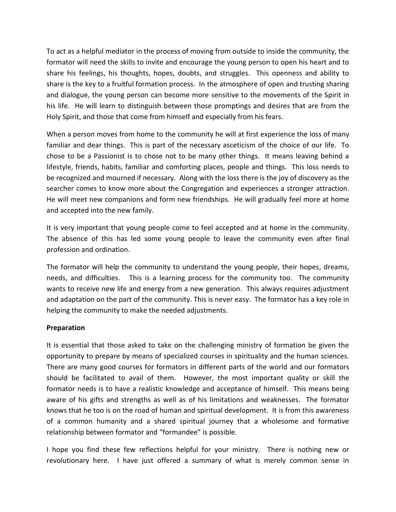To act as a helpful mediator in the process of moving from outside to inside the community, the formator will need the skills to invite and encourage the young person to open his heart and to share his feelings, his thoughts, hopes, doubts, and struggles. This openness and ability to share is the key to a fruitful formation process. In the atmosphere of open and trusting sharing and dialogue, the young person can become more sensitive to the movements of the Spirit in his life. He will learn to distinguish between those promptings and desires that are from the Holy Spirit, and those that come from himself and especially from his fears.

When a person moves from home to the community he will at first experience the loss of many familiar and dear things. This is part of the necessary asceticism of the choice of our life. To chose to be a Passionist is to chose not to be many other things. It means leaving behind a lifestyle, friends, habits, familiar and comforting places, people and things. This loss needs to be recognized and mourned if necessary. Along with the loss there is the joy of discovery as the searcher comes to know more about the Congregation and experiences a stronger attraction. He will meet new companions and form new friendships. He will gradually feel more at home and accepted into the new family.

It is very important that young people come to feel accepted and at home in the community. The absence of this has led some young people to leave the community even after final profession and ordination.

The formator will help the community to understand the young people, their hopes, dreams, needs, and difficulties. This is a learning process for the community too. The community wants to receive new life and energy from a new generation. This always requires adjustment and adaptation on the part of the community. This is never easy. The formator has a key role in helping the community to make the needed adjustments.

### **Preparation**

It is essential that those asked to take on the challenging ministry of formation be given the opportunity to prepare by means of specialized courses in spirituality and the human sciences. There are many good courses for formators in different parts of the world and our formators should be facilitated to avail of them. However, the most important quality or skill the formator needs is to have a realistic knowledge and acceptance of himself. This means being aware of his gifts and strengths as well as of his limitations and weaknesses. The formator knows that he too is on the road of human and spiritual development. It is from this awareness of a common humanity and a shared spiritual journey that a wholesome and formative relationship between formator and "formandee" is possible.

I hope you find these few reflections helpful for your ministry. There is nothing new or revolutionary here. I have just offered a summary of what is merely common sense in